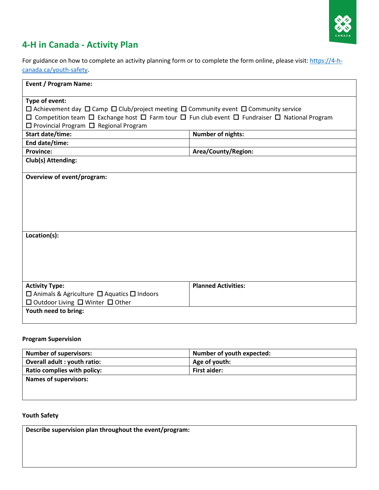

# **4-H in Canada - Activity Plan**

For guidance on how to complete an activity planning form or to complete the form online, please visit: https://4-hcanada.ca/youth-safety.

| <b>Event / Program Name:</b>                                                                                                  |                            |  |
|-------------------------------------------------------------------------------------------------------------------------------|----------------------------|--|
| Type of event:                                                                                                                |                            |  |
| $\Box$ Achievement day $\Box$ Camp $\Box$ Club/project meeting $\Box$ Community event $\Box$ Community service                |                            |  |
| $\Box$ Competition team $\Box$ Exchange host $\Box$ Farm tour $\Box$ Fun club event $\Box$ Fundraiser $\Box$ National Program |                            |  |
| $\Box$ Provincial Program $\Box$ Regional Program                                                                             |                            |  |
| Start date/time:                                                                                                              | <b>Number of nights:</b>   |  |
| End date/time:                                                                                                                |                            |  |
| <b>Province:</b>                                                                                                              | Area/County/Region:        |  |
| Club(s) Attending:                                                                                                            |                            |  |
|                                                                                                                               |                            |  |
| Overview of event/program:                                                                                                    |                            |  |
|                                                                                                                               |                            |  |
|                                                                                                                               |                            |  |
|                                                                                                                               |                            |  |
|                                                                                                                               |                            |  |
|                                                                                                                               |                            |  |
|                                                                                                                               |                            |  |
| Location(s):                                                                                                                  |                            |  |
|                                                                                                                               |                            |  |
|                                                                                                                               |                            |  |
|                                                                                                                               |                            |  |
|                                                                                                                               |                            |  |
| <b>Activity Type:</b>                                                                                                         | <b>Planned Activities:</b> |  |
| $\Box$ Animals & Agriculture $\Box$ Aquatics $\Box$ Indoors                                                                   |                            |  |
| $\Box$ Outdoor Living $\Box$ Winter $\Box$ Other                                                                              |                            |  |
| Youth need to bring:                                                                                                          |                            |  |
|                                                                                                                               |                            |  |

#### **Program Supervision**

| <b>Number of youth expected:</b> |
|----------------------------------|
| Age of youth:                    |
| First aider:                     |
|                                  |
|                                  |
|                                  |

### **Youth Safety**

**Describe supervision plan throughout the event/program:**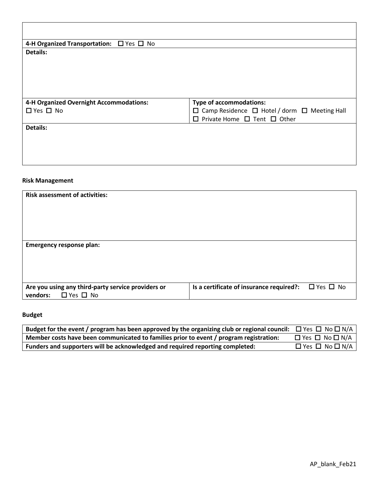| 4-H Organized Transportation: $\Box$ Yes $\Box$ No |                                                               |
|----------------------------------------------------|---------------------------------------------------------------|
| <b>Details:</b>                                    |                                                               |
|                                                    |                                                               |
|                                                    |                                                               |
|                                                    |                                                               |
|                                                    |                                                               |
| 4-H Organized Overnight Accommodations:            | <b>Type of accommodations:</b>                                |
| $\Box$ Yes $\Box$ No                               | $\Box$ Camp Residence $\Box$ Hotel / dorm $\Box$ Meeting Hall |
|                                                    | $\Box$ Private Home $\Box$ Tent $\Box$ Other                  |
| <b>Details:</b>                                    |                                                               |
|                                                    |                                                               |
|                                                    |                                                               |
|                                                    |                                                               |
|                                                    |                                                               |

### **Risk Management**

| <b>Risk assessment of activities:</b>                                                  |                                          |                      |
|----------------------------------------------------------------------------------------|------------------------------------------|----------------------|
| <b>Emergency response plan:</b>                                                        |                                          |                      |
| Are you using any third-party service providers or<br>$\Box$ Yes $\Box$ No<br>vendors: | Is a certificate of insurance required?: | $\Box$ Yes $\Box$ No |

## **Budget**

| Budget for the event / program has been approved by the organizing club or regional council: $\Box$ Yes $\Box$ No $\Box$ N/A |                                 |
|------------------------------------------------------------------------------------------------------------------------------|---------------------------------|
| Member costs have been communicated to families prior to event / program registration:                                       | $\Box$ Yes $\Box$ No $\Box$ N/A |
| Funders and supporters will be acknowledged and required reporting completed:                                                | $\Box$ Yes $\Box$ No $\Box$ N/A |